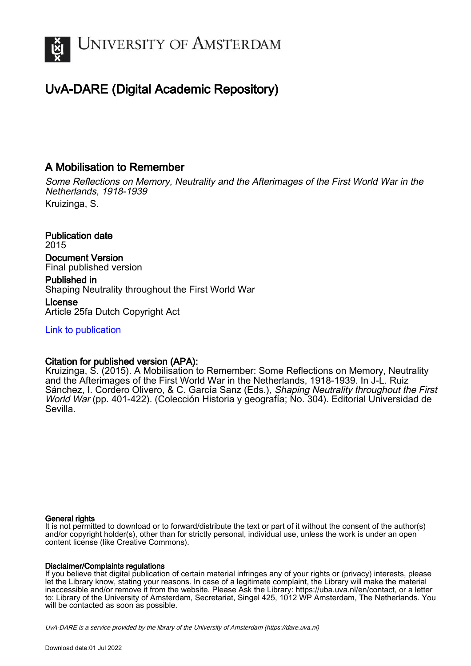

# UvA-DARE (Digital Academic Repository)

## A Mobilisation to Remember

Some Reflections on Memory, Neutrality and the Afterimages of the First World War in the Netherlands, 1918-1939 Kruizinga, S.

Publication date 2015 Document Version Final published version Published in Shaping Neutrality throughout the First World War

License Article 25fa Dutch Copyright Act

[Link to publication](https://dare.uva.nl/personal/pure/en/publications/a-mobilisation-to-remember(7c5607d7-1389-4c14-8d5b-022cfd6fe7c4).html)

### Citation for published version (APA):

Kruizinga, S. (2015). A Mobilisation to Remember: Some Reflections on Memory, Neutrality and the Afterimages of the First World War in the Netherlands, 1918-1939. In J-L. Ruiz Sánchez, I. Cordero Olivero, & C. García Sanz (Eds.), Shaping Neutrality throughout the First World War (pp. 401-422). (Colección Historia y geografía; No. 304). Editorial Universidad de Sevilla.

#### General rights

It is not permitted to download or to forward/distribute the text or part of it without the consent of the author(s) and/or copyright holder(s), other than for strictly personal, individual use, unless the work is under an open content license (like Creative Commons).

#### Disclaimer/Complaints regulations

If you believe that digital publication of certain material infringes any of your rights or (privacy) interests, please let the Library know, stating your reasons. In case of a legitimate complaint, the Library will make the material inaccessible and/or remove it from the website. Please Ask the Library: https://uba.uva.nl/en/contact, or a letter to: Library of the University of Amsterdam, Secretariat, Singel 425, 1012 WP Amsterdam, The Netherlands. You will be contacted as soon as possible.

UvA-DARE is a service provided by the library of the University of Amsterdam (http*s*://dare.uva.nl)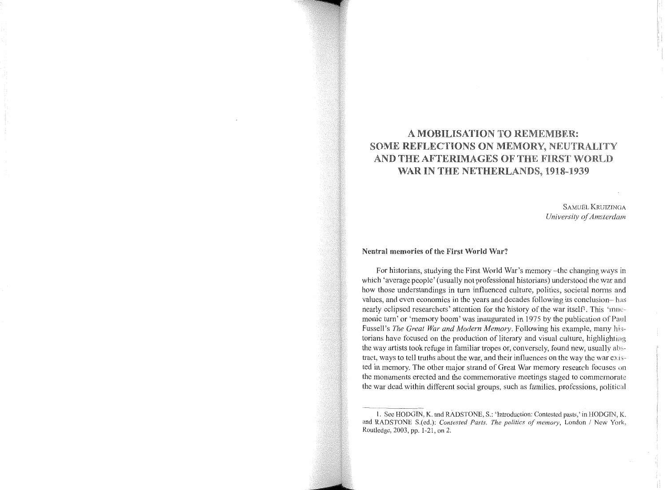## A MOBILISATION TO REMEMBER: SOME REFLECTIONS ON MEMORY, NEUTRALITY AND THE AFTERIMAGES OF THE FIRST WORLD WAR IN THE NETHERLANDS, 1918-1939

SAMUËL KRUIZINGA *University of Amsterdam* 

#### Neutral memories of the First World War'?

For historians, studying the First World War's memory -the changing ways in which 'average people' (usually not professional historians) understood the war and how those understandings in turn influenced culture, politics, societal norms and values, and even economics in the years and decades following its conclusion- has nearly eclipsed researchers' attention for the history of the war itself<sup>1</sup>. This 'mnemonic turn' or 'memory boom' was inaugurated in 1975 by the publication of Paul Fussell's *The Great War and Modern Memory*. Following his example, many historians have focused on the production of literary and visual culture, highlighting the way artists took refuge in familiar tropes or, conversely, found new, usually tract, ways to tell truths about the war, and their influences on the way the war existed in memory. The other major strand of Great War memory research focuses on the monuments erected and the commemorative meetings staged to commemorate the war dead within different social groups, such as families, professions, political

<sup>1.</sup> See HODGIN, K. and RADSTONE, S.: 'Introduction: Contested pasts,' in HODGIN, K. and RADSTONE S.(ed.): *Contested Pasts. The politics of memory,* London *I* New York, Routledge, 2003, pp. 1-21, on 2.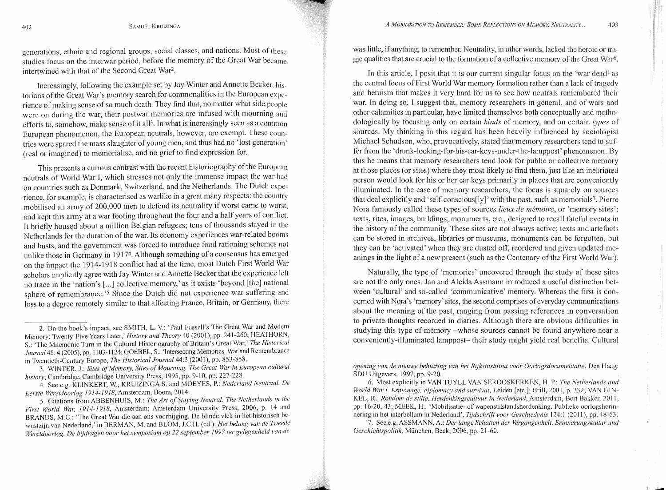generations, ethnic and regional groups, social classes, and nations. Most of studies focus on the interwar period, before the memory of the Great War became intertwined with that of the Second Great War2.

Increasingly, following the example set by Jay Winter and Annette Becker, historians of the Great War's memory search for commonalities in the European experience of making sense of so much death. They find that, no matter what side people were on during the war, their postwar memories are infused with mourning and efforts to, somehow, make sense of it all<sup>3</sup>. In what is increasingly seen as a common European phenomenon, the European neutrals, however, are exempt. These countries were spared the mass slaughter of young men, and thus had no 'lost generation' (real or imagined) to memorialise, and no grief to find expression for.

This presents a curious contrast with the recent historiography of the European neutrals of World War I, which stresses not only the immense impact the war had on countries such as Denmark, Switzerland, and the Netherlands. The Dutch experience, for example, is characterised as warlike in a great many respects: the country mobilised an army of 200,000 men to defend its neutrality if worst came to worst, and kept this army at a war footing throughout the four and a half years of conflict. It briefly housed about a million Belgian refugees; tens of thousands stayed in the Netherlands for the duration of the war. Its economy experiences war-related booms and busts, and the government was forced to introduce food rationing schemes not unlike those in Germany in 19174. Although something of a consensus has emerged on the impact the 1914-1918 conflict had at the time, most Dutch First World War scholars implicitly agree with Jay Winter and Annette Becker that the experience left no trace in the 'nation's [...] collective memory,' as it exists 'beyond [the] national sphere of remembrance. '5 Since the Dutch did not experience war suffering and loss to a degree remotely similar to that affecting France, Britain, or Germany, there

3. WINTER, J.: *Sites of Memory, Sites of Mourning. The Great War in European cultural history,* Cambridge, Cambridge University Press, 1995, pp. 9-10, pp. 227-228.

4. See e.g. KLINKERT, W., KRUIZINGA S. and MOEYES, P.: *Nederland Neutraal. De Eerste Wereldoorlog 1914-1918,* Amsterdam, Boom, 2014.

was little, if anything, to remember. Neutrality, in other words, lacked the heroic or tra· gic qualities that are crucial to the formation of a collective memory of the Great War6.

In this article, I posit that it is our current singular focus on the 'war dead' as the central focus of First World War memory formation rather than a lack of tragedy and heroism that makes it very hard for us to sec how neutrals remembered their war. In doing so, I suggest that, memory researchers in general, and of wars and other calamities in particular, have limited themselves both conceptually and methodologically by focusing only on certain *kinds* of memory, and on certain *types* of sources. My thinking in this regard has been heavily influenced by sociologist Michael Schudson, who, provocatively, stated that memory researchers tend to suffer from the 'drunk-looking-for-his-car-keys-under-the-lamppost' phenomenon. this he means that memory researchers tend look for public or collective memory at those places (or sites) where they most likely to find them, just like an inebriated person would look for his or her car keys primarily in places that arc conveniently illuminated. In the case of memory researchers, the focus is squarely on sources that deal explicitly and 'self-conscious[ly ]'with the past, such as memorials?. Pierre Nora famously called these types of sources *lieux de mémoire*, or 'memory sites': texts, rites, images, buildings, monuments, etc., designed to recall fateful events in the history of the community. These sites are not always active; texts and artefacts can be stored in archives, libraries or museums, monuments can be forgotten, but they can be 'activated' when they are dusted off, reordered and given updated meanings in the light of a new present (such as the Centenary of the First World War).

Naturally, the type of 'memories' uncovered through the study of these sites are not the only ones. Jan and Aleida Assmann introduced a useful distinction bet~ ween 'cultural' and so-called 'communicative' memory. Whereas the first is concerned with Nora's 'memory' sites, the second comprises of everyday communications about the meaning of the past, ranging from passing references in conversation to private thoughts recorded in diaries. Although there are obvious difficulties in studying this type of memory -whose sources cannot be found anywhere ncar a conveniently-illuminated lamppost- their study might yield real benefits. Cultural

7. See e.g. ASSMANN, A.: *Der lange Schatten der Vergangenheit. Erinnerungskultur und Geschichtspolitik,* Miinchen, Beck, 2006, pp. 21-60.

<sup>2.</sup> On the book's impact, see SMITH, L. V.: 'Paul Fussell's The Great War and Modem Memory: Twenty-Five Years Later,' *History and Theory* 40 (2001 ), pp. 241-260; HEATHORN, S.: 'The Mnemonic Turn in the Cultural Historiography of Britain's Great War,' *The Historical*  Journal 48: 4 (2005), pp. 1103-1124; GOEBEL, S.: 'Intersecting Memories. War and Remembrance in Twentieth-Century Europe, *The Historical.Journa/44:3* (2001), pp. 853-858.

<sup>5.</sup> Citations from ABBENHUIS, M.: *The Art of Staying Neutral. The Netherlands* in *the First World War, 1914-1918,* Amsterdam: Amsterdam University Press, 2006, p. 14 and BRANDS, M.C.: 'The Great War die aan ons voorbijging. De blinde vlek in het historisch bcwustzijn van Nederland;' in BERMAN, M. and BLOM, J.C.H. (ed.): *Het belang van de Tweede Wereldoorlog. De bijdragen voor het symposium op 22 september 1997 ter gelegenheid van de* 

*opening van de nieuwe behuizing van het Rijksinstituut voor Oorlogsdocumentatie,* Den I-laag: SDU Uitgevers, 1997, pp. 9-20.

<sup>6.</sup> Most explicitly in VAN TUYLL VAN SEROOSKERKEN, H. P.: *The Netherlands and World War 1. Espionage, diplomacy and survival,* Leiden [etc.]: Brill, 2001, p. 332; VAN GIN-KEL, R.: *Rondom de stilte. Herdenkingscultuur in Nederland*, Amsterdam, Bert Bakker, 2011, pp. 16-20, 43; MEEK, H.: 'Mobilisatie- of wapenstilstandsherdenking. Publieke oorlogsherinnering in het interbellum in Nederland', *Tijdschr!ft voor Geschiedenis* 124:1 (2011 ), pp. 48-63.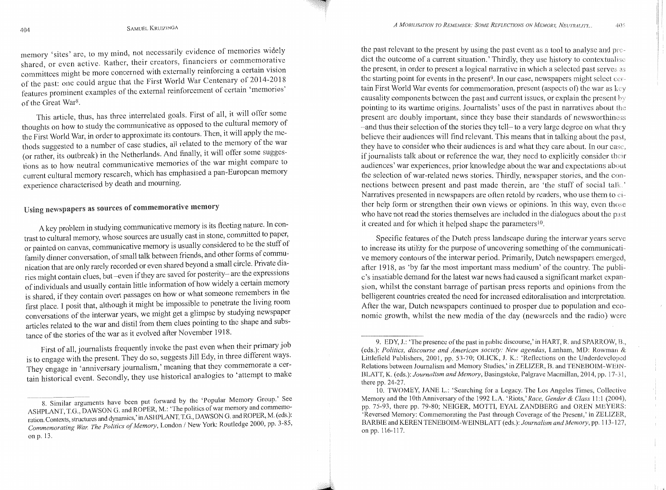memory 'sites' are, to my mind, not necessarily evidence of memories widely shared, or even active. Rather, their creators, financiers or commemorative committees might be more concerned with externally reinforcing a certain vision of the past: one could argue that the First World War Centenary of  $2014$ -2018 features prominent examples of the external reinforcement of certain 'memories' of the Great War<sup>8</sup>.

This article, thus, has three interrelated goals. First of all, it will offer some thoughts on how to study the communicative as opposed to the cultural memory of the First World War, in order to approximate its contours. Then, 1t w1ll apply the methods suggested to a number of case studies, all related to the memory of the war (or rather, its outbreak) in the Netherlands. And finally, it will offer some suggestions as to how neutral communicative memories of the war might compare to current cultural memory research, which has emphasised a pan-European memory experience characterised by death and mourning.

# Using newspapers as sources of commemorative memory

A key problem in studying communicative memory is its fleeting nature. In contrast to cultural memory, whose sources are usually cast in stone, committed to paper, or painted on canvas, communicative memory is usually considered to be the stuff of family dinner conversation, of small talk between friends, and other forms of communication that are only rarely recorded or even shared beyond a small circle. Private diarics might contain clues, but -even if they are saved for posterity- are the expressions of individuals and usually contain little information of how widely a certain memory is shared, if they contain overt passages on how or what someone remembers in the first place. I posit that, although it might be impossible to penetrate the living room conversations of the interwar years, we might get a glimpse by studymg newspaper articles related to the war and distil from them clues pointing to the shape and substance of the stories of the war as it evolved after November 1918.

First of all, journalists frequently invoke the past even when their primary job is to engage with the present. They do so, suggests Jill Edy, in three different ways. They engage in 'anniversary journalism,' meaning that they commemorate a certain historical event. Secondly, they use historical analogies to 'attempt to make

the past relevant to the present by using the past event as a tool to analyse and dict the outcome of a current situation.' Thirdly, they use history to contextualise the present, in order to present a logical narrative in which a selected past serves as the starting point for events in the present<sup>9</sup>. In our case, newspapers might select certain First World War events for commemoration, present (aspects of) the war as causality components between the past and current issues, or explain the present pointing to its wartime origins. Journalists' uses of the past in narratives about the present arc doubly important, since they base their standards of newsworthiness -and thus their selection of the stories they tell- to a very large degree on what they believe their audiences will find relevant. This means that in talking about the they have to consider who their audiences is and what they care about. In our case, if journalists talk about or reference the war, they need to explicitly consider their audiences' war experiences, prior knowledge about the war and expectations about the selection of war-related news stories. Thirdly, newspaper stories, and the con·· nections between present and past made therein, are 'the stuff of social talk ' Narratives presented in newspapers are often retold by readers, who use them to ther help form or strengthen their own views or opinions. In this way, even those who have not read the stories themselves are included in the dialogues about the past it created and for which it helped shape the parameters<sup>10</sup>.

Specific features of the Dutch press landscape during the interwar years serve to increase its utility for the purpose of uncovering something of the communicative memory contours of the interwar period. Primarily, Dutch newspapers emerged, after 1918, as 'by far the most important mass medium' of the country. The publi·· c's insatiable demand for the latest war news had caused a significant market cxpan·· sion, whilst the constant barrage of partisan press reports and opinions from the belligerent countries created the need for increased editoralisation and interpretation. After the war, Dutch newspapers continued to prosper due to population and eco· nomic growth, whilst the new media of the day (newsreels and the radio) were

405

<sup>8.</sup> Similar arguments have been put forward by the 'Popular Memory Group.' See ASHPLANT, T.G., DAWSON G. and ROPER, M.: 'The politics of war memory and commemoration. Contexts, structures and dynamics,' in ASHPLANT, T.G., DAWSON G. and ROPER, M. (eds.): Commemorating War. The Politics of Memory, London / New York: Routledge 2000, pp. 3-85, on p. 13.

<sup>9.</sup> EDY, J.: 'The presence of the past in public discourse,' in HART, R. and SPARROW, (eds.): *Politics, discourse and American society: New agendas,* Lanham, MD: Rowman & Littlefield Publishers, 2001, pp. 53-70; OLICK, J. K.: 'Reflections on the Underdeveloped Relations between Journalism and Memory Studies,' in ZELIZER, B. and TENEBOIM-WElN·- BLATT, K. ( eds.): *Journalism and Memory,* Basingstoke, Palgrave Macmillan, 2014, pp. 17·31, there pp. 24-27.

<sup>10.</sup> TWOMEY, JANEL.: 'Searching for a Legacy. The Los Angeles Times, Collective Memory and the 1Oth Anniversary of the 1992 L.A. 'Riots,' *Race, Gender* & *Class* 11: l (2004), pp. 75-93, there pp. 79-80; NEIGER, MOTTl, EYAL ZANDBERG and OREN MEYERS: 'Reversed Memory: Commemorating the Past through Coverage of the Present,' in ZELIZER, BARBIE and KEREN TENEBOIM-WEINBLATT (eds.): *Journalism and Memory,* pp. 113··127, on pp. 116-117.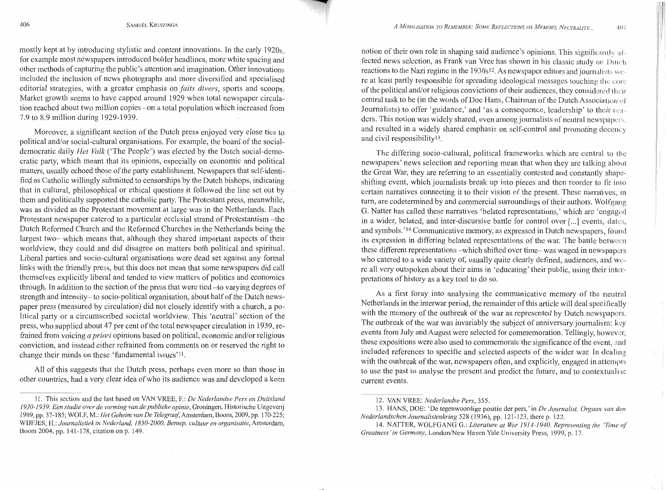mostly kept at by introducing stylistic and content innovations. In the early 1920s, for example most newspapers introduced bolder headlines, more white spacing and other methods of capturing the public's attention and imagination. Other innovations included the inclusion of news photographs and more diversified and specialised editorial strategies, with a greater emphasis on *faits divers,* sports and scoops. Market growth seems to have capped around 1929 when total newspaper circulation reached about two million copies --on a total population which increased from 7.9 to 8.9 million during 1929-1939.

Moreover, a significant section of the Dutch press enjoyed very close ties to political and/or social-cultural organisations. For example, the board of the socialdemocratic daily *Het Volk* ('The People') was elected by the Dutch social-democratic party, which meant that its opinions, especially on economic and political matters, usually echoed those of the party establishment. Newspapers that self-identified as Catholic willingly submitted to censorships by the Dutch bishops, indicating that in cultural, philosophical or ethical questions it followed the line set out by them and politically supported the catholic party. The Protestant press, meanwhile, was as divided as the Protestant movement at large was in the Netherlands. Each Protestant newspaper catered to a particular ecclesial strand of Protestantism -- the Dutch Reformed Church and the Reformed Churches in the Netherlands being the largest two- which means that, although they shared important aspects of their worldview, they could and did disagree on matters both political and spiritual. Liberal parties and socio-cultural organisations were dead set against any formal links with the friendly press, but this does not mean that some newspapers did call themselves explicitly liberal and tended to view matters of politics and economics through. In addition to the section of the press that were tied -to varying degrees of strength and intensity- to socio-political organisation, about half of the Dutch newspaper press (measured by circulation) did not closely identify with a church, a political party or a circumscribed societal worldview. This 'neutral' section of the press, who supplied about 47 per cent of the total newspaper circulation in 1939, refrained from voicing *a priori* opinions based on political, economic and/or religious conviction, and instead either refrained from comments on or reserved the right to change their minds on these 'fundamental issues'<sup>11</sup>.

All of this suggests that the Dutch press, perhaps even more so than those in other countries, had a very clear idea of who its audience was and developed a keen

notion of their own role in shaping said audience's opinions. This significantly affected news selection, as Frank van Vree has shown in his classic study on Dutch reactions to the Nazi regime in the  $1930s^{12}$ . As newspaper editors and journalists were at least partly responsible for spreading ideological messages touching of the political and/or religious convictions of their audiences, they considered central task to be (in the words of Doe Hans, Chairman of the Dutch Association of Journalists) to offer 'guidance,' and 'as a consequence, leadership' to their ders. This notion was widely shared, even among journalists of neutral newspapers, and resulted in a widely shared emphasis on self-control and promoting and civil responsibilityl3.

The differing socio-cultural, political frameworks which arc central to the newspapers' news selection and reporting mean that when they arc talking about the Great War, they are referring to an essentially contested and constantly shapeshifting event, which journalists break up into pieces and then reorder to fit imo certain narratives connecting it to their vision of the present. These narratives, in turn, are codetermined by and commercial surroundings of their authors. Wolfgang G. Natter has called these narratives 'belated representations,' which are 'engaged in a wider, belated, and inter-discursive battle for control over [...] events, dates. and symbols.' 14 Communicative memory, as expressed in Dutch newspapers, found its expression in differing belated representations of the war. The battle these different representations --which shifted over time-was waged in newspapers who catered to a wide variety of, usually quite clearly defined, audiences, and were all very outspoken about their aims in 'educating' their public, using their inter~ pretations of history as a key tool to do so.

As a first foray into analysing the communicative memory of the neutral Netherlands in the interwar period, the remainder of this article will deal specifically with the memory of the outbreak of the war as represented by Dutch newspapers. The outbreak of the war was invariably the subject of anniversary journalism: key events from July and August were selected for commemoration. Tellingly, however, these expositions were also used to commemorate the significance of the event, and included references to specific and selected aspects of the wider war. In dealing with the outbreak of the war, newspapers often, and explicitly, engaged in attempts to use the past to analyse the present and predict the future, and to contextualise current events.

<sup>11.</sup> This section and the last based on VAN VREE, F.: *De Nederlandse Pers en Duitsland 19 3 0-19 3 9. Een studie over de vorming van de publieke opinie,* Groningen, Historische Uitgeverij 1989, pp. 37-185; WOLF, M.: *Het Geheim van De Telegraaf*, Amsterdam, Boom, 2009, pp. 170-225; WIJFJES, H.: *Journalistiek in Nederland, 1850-2000. Beroep, cultuur en organisatie,* Amsterdam, Boom 2004, pp. 141-178, citation on p. 149.

<sup>12.</sup> VAN VREE: *Nederlandse Pers,* 355.

<sup>13.</sup> HANS, DOE: 'De tegenwoordige positie der pers,' in *De Journalist. Orgaan van den Nederlandschen Journalistenkring* 528 (1936), pp. 121-123, there p. 122.

<sup>14.</sup> NATTER, WOLFGANG G.: *Literature at War 1914-1940. Representing the 'Tlme of Greatness' in Germany,* London/New Haven Yale University Press, 1999, p. 17.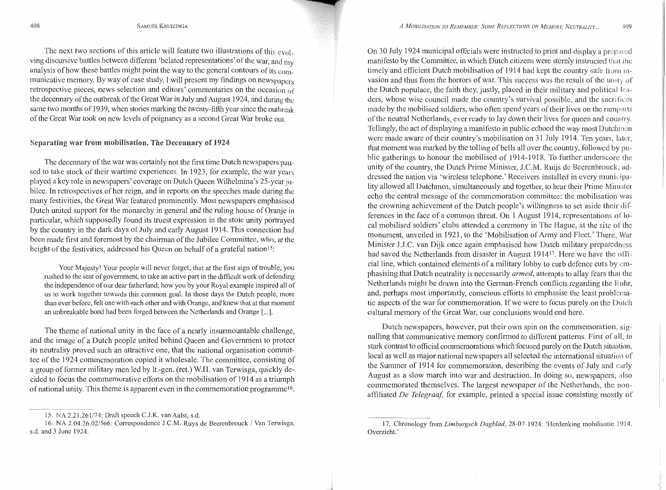The next two sections of this article will feature two illustrations of this evol. ving discursive battles between different 'belated representations' of the war, and  $mv$ analysis of how these battles might point the way to the general contours of its communicative memory. By way of case study, I will present my findings on newspapers retrospective pieces, news selection and editors' commentaries on the occasion of the decennary of the outbreak of the Great War in July and August 1 924, and during the same two months of 1939, when stories marking the twenty-fifth year since the outbreak of the Great War took on new levels of poignancy as a second Great War broke out

#### Separating war from mobilisation. The Decennary of 1924

The decennary of the war was certainly not the first time Dutch newspapers paused to take stock of their wartime experiences. In 1923, for example, the war years played a key role in newspapers' coverage on Dutch Queen Wilhelmina's 25-year jubilee. In retrospectives of her reign, and in reports on the speeches made during the many festivities, the Great War featured prominently. Most newspapers emphasised Dutch united support for the monarchy in general and the ruling house of Oranje in particular, which supposedly found its truest expression in the stoic unity portrayed by the country in the dark days of July and early August 1914. This connection had been made first and foremost by the chairman of the Jubilee Committee, who, at the height of the festivities, addressed his Queen on behalf of a grateful nation<sup>15</sup>:

Your Majesty) Your people will never forget, that at the first sign of trouble, you rushed to the seat of government, to take an active part in the difficult work of defending the independence of our dear fatherland; how you by your Royal example inspired all of us to work together towards this common goal. In those days the Dutch people, more than ever before, felt one with each other and with Orange, and knew that at that moment an unbreakable bond had been forged between the Netherlands and Orange [...].

The theme of national unity in the face of a nearly insurmountable challenge, and the image of a Dutch people united behind Queen and Government to protect its neutrality proved such an attractive one, that the national organisation committee of the 1924 commemoration copied it wholesale. The committee, consisting of a group of former military men led by lt.-gen. (ret.) W.H. van Terwisga, quickly decided to focus the commemorative efforts on the mobilisation of 1914 as a triumph of national unity. This theme is apparent even in the commemoration programme16.

On 30 July 1924 municipal officials were instructed to print and display a manifesto by the Committee, in which Dutch citizens were sternly instructed that timely and efficient Dutch mobilisation of  $1914$  had kept the country safe from invasion and thus from the horrors of war. This success was the result of the unity of the Dutch populace, the faith they, justly, placed in their military and political ders, whose wise council made the country's survival possible, and the sacrifices made by the mobilised soldiers, who often spend years of their lives on the ramparts of the neutral Netherlands, ever ready to lay down their lives for queen and country. Tellingly, the act of displaying a manifesto in public echoed the way most were made aware of their country's mobilisation on 31 July 1914. Ten years, later, that moment was marked by the tolling of bells all over the country, followed by public gatherings to honour the mobilised of 1914-1918. To further underscore the unity of the country, the Dutch Prime Minister, J.C.M. Ruijs de Becrenbrouck, dressed the nation via 'wireless telephone.' Receivers installed in every municipality allowed all Dutchmen, simultaneously and together, to hear their Prime Mimster echo the central message of the commemoration committee: the mobilisation was the crowning achievement of the Dutch people's willingness to set aside their dif. ferences in the face of a common threat. On 1 August 1914, representations of local mobilised soldiers' clubs attended a ceremony in The Hague, at the site of monument, unveiled in 1921, to the 'Mobilisation of Army and Fleet.' There, War Minister J.J.C. van Dijk once again emphasised how Dutch military preparedness had saved the Netherlands from disaster in August 1914<sup>17</sup>. Here we have the officiallinc, which contained clements of a military lobby to curb defence cuts by emphasising that Dutch neutrality is necessarily *armed,* attempts to allay fears that Netherlands might be drawn into the German-French conflicts regarding the and, perhaps most importantly, conscious efforts to emphasise the least problema~ tie aspects of the war for commemoration. If we were to focus purely on the Dutch cultural memory of the Great War, our conclusions would end here.

Dutch newspapers, however, put their own spin on the commemoration, nailing that communicative memory confirmed to different patterns. First of all, in stark contrast to official commemorations which focused purely on the Dutch situation, local as well as major national newspapers all selected the international situation of the Summer of 1914 for commemoration, describing the events of July and August as a slow march into war and destruction. In doing so, newspapers, also commemorated themselves. The largest newspaper of the Netherlands, the nonaffiliated *De Telegraaf,* for example, printed a special issue consisting mostly of

<sup>15.</sup> NA 2.21.261/74: Draft speech C.J.K. van Aalst, s.d.

<sup>16.</sup> NA 2.04.26.02/566: Correspondence J.C.M. Ruys de Beerenbrouck I Van Terwisga, s.d. and 3 June 1924.

<sup>17.</sup> Chronology from *Limburgsch Dagblad,* 28-07-1924: 'Herdenking mobilisalie 1914. Overzicht.'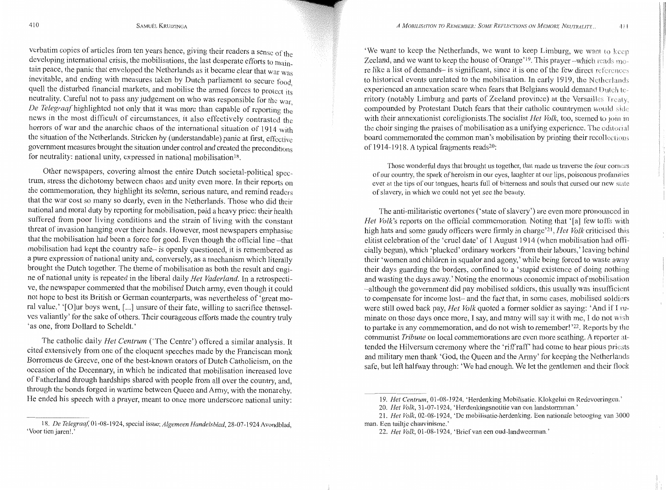verbatim copies of articles from ten years hence, giving their readers a sense of the developing international crisis, the mobilisations, the last desperate efforts to maintain peace, the panic that enveloped the Netherlands as it became clear that war was inevitable, and ending with measures taken by Dutch parliament to secure food quell the disturbed financial markets, and mobilise the armed forces to protect its neutrality. Careful not to pass any judgement on who was responsible for the war *De Telegraaf* highlighted not only that it was more than capable of reporting the news in the most difficult of circumstances, it also effectively contrasted the horrors of war and the anarchic chaos of the international situation of 1914 with the situation of the Netherlands. Stricken by (understandable) panic at first, effective government measures brought the situation under control and created the preconditions for neutrality: national unity, expressed in national mobilisation<sup>18</sup>.

Other newspapers, covering almost the entire Dutch societal-political spectrum, stress the dichotomy between chaos and unity even more. In their reports on the commemoration, they highlight its solemn, serious nature, and remind readers that the war cost so many so dearly, even in the Netherlands. Those who did their national and moral duty by reporting for mobilisation, paid a heavy price: their health suffered from poor living conditions and the strain of living with the constant threat of invasion hanging over their heads. However, most newspapers emphasise that the mobilisation had been a force for good. Even though the official line -that mobilisation had kept the country safe- is openly questioned, it is remembered as a pure expression of national unity and, conversely, as a mechanism which literally brought the Dutch together. The theme of mobilisation as both the result and engine of national unity is repeated in the liberal daily *Het Vader/and.* In a retrospective, the newspaper commented that the mobilised Dutch army, even though it could not hope to best its British or German counterparts, was nevertheless of 'great moral value.' '[O]ur boys went, [...] unsure of their fate, willing to sacrifice themselves valiantly' for the sake of others. Their courageous efforts made the country truly 'as one, from Dollard to Scheldt.'

The catholic daily *Het Centrum* ('The Centre') offered a similar analysis. It cited extensively from one of the eloquent speeches made by the Franciscan monk Borromeus de Greeve, one of the best-known orators of Dutch Catholicism, on the occasion of the Decennary, in which he indicated that mobilisation increased love of Fatherland through hardships shared with people from all over the country, and, through the bonds forged in wartime between Queen and Army, with the monarchy. He ended his speech with a prayer, meant to once more underscore national unity:

'We want to keep the Netherlands, we want to keep Limburg, we want Zeeland, and we want to keep the house of Orange'<sup>19</sup>. This prayer --which reads more like a list of demands- is significant, since it is one of the few direct references to historical events unrelated to the mobilisation. In early 1919, the Netherlands experienced an annexation scare when fears that Belgians would demand Dutch rritory (notably Limburg and parts of Zeeland province) at the Versailles Treaty. compounded by Protestant Dutch fears that their catholic countrymen would with their annexationist coreligionists. The socialist *Het Volk*, too, seemed to join in the choir singing the praises of mobilisation as a unifying experience. The editorial board commemorated the common man's mobilisation by printing their of 1914-1918. A typical fragments reads20:

Those wonderful days that brought us together, that made us traverse the four corners of our country, the spark of heroism in our eyes, laughter at our lips, poisonous profamties ever at the tips of our tongues, hearts full of bitterness and souls that cursed our new state of slavery, in which we could not yet see the beauty.

The anti-militaristic overtones ('state of slavery') are even more pronounced in *Het Volk's* reports on the official commemoration. Noting that '[a] few toffs with high hats and some gaudy officers were firmly in chargc'21, *Het Volk* criticised this elitist celebration of the 'cruel date' of 1 August 1914 (when mobilisation had cially begun), which 'plucked' ordinary workers 'from their labours,' leaving behind their 'women and children in squalor and agony,' while being forced to waste away their days guarding the borders, confined to a 'stupid existence of doing nothing and wasting the days away.' Noting the enormous economic impact of mobilisation -although the government did pay mobilised soldiers, this usually was insufficient to compensate for income lost- and the fact that, in some cases, mobilised soldiers were still owed back pay, *Het Volk* quoted a former soldier as saying: 'And if I ruminate on those days once more, I say, and many will say it with me, I do not wish to partake in any commemoration, and do not wish to remember! '22. Reports by the communist *Tribune* on local commemorations are even more scathing. A reporter attended the Hilversum ceremony where the 'riff raff' had come to hear pious priests and military men thank 'God, the Queen and the Army' for keeping the Netherlands safe, but left halfway through: 'We had enough. We let the gentlemen and their flock

<sup>18.</sup> *De Telegraaf,* 01-08-1924, special issue; *Algemeen Handelsblad,* 28-07-1924 Avondblad, 'Voor tien jaren!.

<sup>19.</sup> *Het Centrum,* 01-08-1924, 'Herdenking Mobilisatie. Klokgelui en Redcvoeringen.'

<sup>20.</sup> *Het Volk,* 31-07-1924, 'Herdenkingsnotitie van een landstormman.'

<sup>21.</sup> *Het Volk,* 02-08-1924, 'De mobilisatie-herdenking. Een nationale betooging van 3000 man. Een tuiltje chauvinisme.'

<sup>22.</sup> *Het Volk,* 01-08-1924, 'Brief van een oud-landweennan.'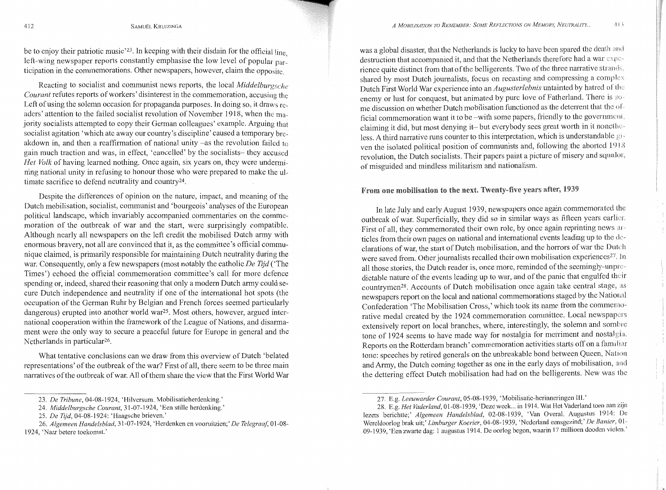be to enjoy their patriotic music<sup>'23</sup>. In keeping with their disdain for the official line left-wing newspaper reports constantly emphasise the low level of popular participation in the commemorations. Other newspapers, however, claim the opposite.

Reacting to socialist and communist news reports, the local *Middelburgsche Courant* refutes reports of workers' disinterest in the commemoration, accusing the Left of using the solemn occasion for propaganda purposes. In doing so, it draws readers' attention to the failed socialist revolution of November 1918, when the majority socialists attempted to copy their German colleagues' example. Arguing that socialist agitation 'which ate away our country's discipline' caused a temporary breakdown in, and then a reaffirmation of national unity -as the revolution failed to gain much traction and was, in effect, 'cancelled' by the socialists- they accused *Het Volk* of having learned nothing. Once again, six years on, they were undermining national unity in refusing to honour those who were prepared to make the ultimate sacrifice to defend neutrality and country24.

Despite the differences of opinion on the nature, impact, and meaning of the Dutch mobilisation, socialist, communist and 'bourgeois' analyses of the European political landscape, which invariably accompanied commentaries on the commemoration of the outbreak of war and the start, were surprisingly compatible. Although nearly all newspapers on the left credit the mobilised Dutch army with enormous bravery, not all are convinced that it, as the committee's official communique claimed, is primarily responsible for maintaining Dutch neutrality during the war. Consequently, only a few newspapers (most notably the catholic *De Tijd* ('The Times') echoed the official commemoration committee's call for more defence spending or, indeed, shared their reasoning that only a modern Dutch army could secure Dutch independence and neutrality if one of the international hot spots (the occupation of the German Ruhr by Belgian and French forces seemed particularly dangerous) erupted into another world war25. Most others, however, argued international cooperation within the framework of the League of Nations, and disarmament were the only way to secure a peaceful future for Europe in general and the Netherlands in particular<sup>26</sup>.

What tentative conclusions can we draw from this overview of Dutch 'belated representations' of the outbreak of the war? First of all, there seem to be three main narratives of the outbreak of war. All of them share the view that the First World War

26. *Algemeen Handelsblad,* 31-07-1924, 'Herdenken en vooruitzien;' *De Telegraaf,* 01-08- 1924, 'Naar betere toekomst.'

was a global disaster, that the Netherlands is lucky to have been spared the death and destruction that accompanied it, and that the Netherlands therefore had a war rience quite distinct from that of the belligerents. Two of the three narrative strand<. shared by most Dutch journalists, focus on recasting and compressing a complex Dutch First World War experience into an *Augusterlebnis* untainted by hatred of the enemy or lust for conquest, but animated by pure love of Fatherland. There is some discussion on whether Dutch mobilisation functioned as the deterrent that the official commemoration want it to be --with some papers, friendly to the government, claiming it did, but most denying it- but everybody sees great worth in it nonetheless. A third narrative runs counter to this interpretation, which is understandable ven the isolated political position of communists and, following the aborted  $1918$ revolution, the Dutch socialists. Their papers paint a picture of misery and squalor, of misguided and mindless militarism and nationalism.

### From one mobilisation to the next. Twenty-five years after, 1939

In late July and early August 1939, newspapers once again commemorated the outbreak of war. Superficially, they did so in similar ways as fifteen years First of all, they commemorated their own role, by once again reprinting news articlcs from their own pages on national and international events leading up to the de-· clarations of war, the start of Dutch mobilisation, and the horrors of war the Dutch were saved from. Other journalists recalled their own mobilisation experiences<sup>27</sup>. In all those stories, the Dutch reader is, once more, reminded of the seemingly·-unprc·· dictable nature of the events leading up to war, and of the panic that engulfed countrymen<sup>28</sup>. Accounts of Dutch mobilisation once again take central stage, as newspapers report on the local and national commemorations staged by the National Confederation 'The Mobilisation Cross,' which took its name from the commemo·· rative medal created by the 1924 commemoration committee. Local newspapers extensively report on local branches, where, interestingly, the solemn and sombre tone of 1924 seems to have made way for nostalgia for merriment and nostalgia. Reports on the Rotterdam branch' commemoration activities starts off on a familiar tone: speeches by retired generals on the unbreakable bond between Queen, Nation and Army, the Dutch coming together as one in the early days of mobilisation, and the dettering effect Dutch mobilisation had had on the belligerents. New was the

<sup>23.</sup> *De Tribune,* 04-08-1924, 'Hilversum. Mobilisatieherdenking.'

<sup>24.</sup> *Middelburgsche Courant,* 31-07-1924, 'Een stille herdenking.'

<sup>25.</sup> *De Tijd,* 04-08-1924: 'Haagsche brieven.'

<sup>27.</sup> E.g. Leeuwarder Courant, 05-08-1939, 'Mobilisatie-herinneringen III.'

<sup>28.</sup> E.g. *Het Vaderland*, 01-08-1939, 'Deze week ... in 1914. Wat Het Vaderland toen aan zijn lezers berichtte;' Algemeen Handelsblad, 02-08-1939, 'Van Overal. Augustus 1914: De Wereldoorlog brak uit;' Limburger Koerier, 04-08-1939, 'Nederland eensgezind;' De Banier, 01-09-1939, 'Een zwarte dag: 1 augustus 1914. De oorlog begon, waarin 17 millioen dooden vielen.'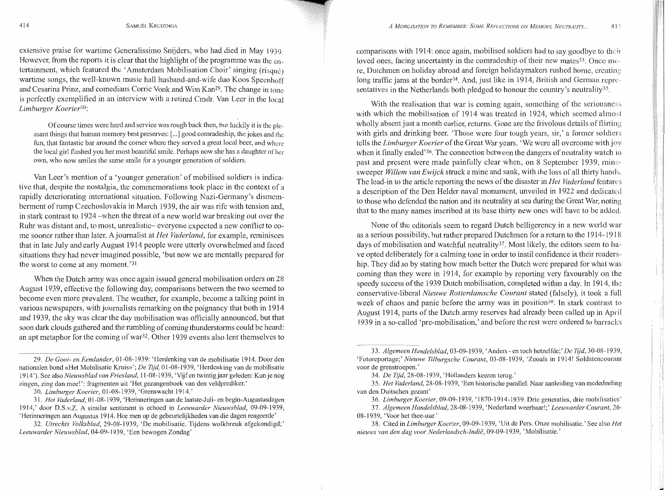extensive praise for wartime Generalissimo Snijders, who had died in May 1939 However, from the reports it is clear that the highlight of the programme was the entertainment, which featured the 'Amsterdam Mobilisation Choir' singing (risque) wartime songs, the well-known music hall husband-and-wife duo Koos Speenhoff and Cesarina Prinz, and comedians Corrie Vonk and Wim Kan<sup>29</sup>. The change in tone is perfectly exemplified in an interview with a retired Cmdr. Van Leer in the local *Limburger Koerier30;* 

Of course times were hard and service was rough back then, but luckily it is the pleasant things that human memory best preserves:[ ... ] good comradeship, the jokes and the fun, that fantastic bar around the corner where they served a great local beer, and where the local girl flashed you her most beautiful smile. Perhaps now she has a daughter of her own, who now smiles the same smile for a younger generation of soldiers.

Van Leer's mention of a 'younger generation' of mobilised soldiers is indicative that, despite the nostalgia, the commemorations took place in the context of a rapidly deteriorating international situation. Following Nazi-Germany's dismemberment of rump Czechoslovakia in March 1939, the air was rife with tension and, in stark contrast to 1924 -when the threat of a new world war breaking out over the Ruhr was distant and, to most, unrealistic- everyone expected a new conflict to come sooner rather than later. A journalist at *Het Vaderland,* for example, reminisces that in late July and early August 1914 people were utterly overwhelmed and faced situations they had never imagined possible, 'but now we are mentally prepared for the worst to come at any moment. '31

When the Dutch army was once again issued general mobilisation orders on 28 August 1939, effective the following day, comparisons between the two seemed to become even more prevalent. The weather, for example, become a talking point in various newspapers, with journalists remarking on the poignancy that both in 1914 and 1939, the sky was clear the day mobilisation was officially announced, but that soon dark clouds gathered and the rumbling of coming thunderstorms could be heard: an apt metaphor for the coming of war<sup>32</sup>. Other 1939 events also lent themselves to

comparisons with 1914; once again, mobilised soldiers had to say goodbye to their loved ones, facing uncertainty in the comradeship of their new mates<sup>33</sup>. Once more, Dutchmen on holiday abroad and foreign holidaymakers rushed home, long traffic jams at the border<sup>34</sup>. And, just like in 1914, British and German representatives in the Netherlands both pledged to honour the country's neutrality<sup>35</sup>.

With the realisation that war is coming again, something of the seriousness with which the mobilisation of 1914 was treated in 1924, which seemed almost wholly absent just a month earlier, returns. Gone are the frivolous details of flirting with girls and drinking beer. 'Those were four tough years, sir,' a former soldiers tells the *Limburger Koerier* of the Great War years. 'We were all overcome with when it finally ended<sup>'36</sup>. The connection between the dangers of neutrality watch in past and present were made painfully clear when, on 8 September 1939, mine· sweeper *Willem van Ewijck* struck a mine and sank, with the Joss of all thirty hands. The lead-in to the article reporting the news of the disaster in *Het Vaderland* features a description of the Den Helder naval monument, unveiled in 1922 and dedicated to those who defended the nation and its neutrality at sea during the Great War, noting that to the many names inscribed at its base thirty new ones will have to be added.

None of the editorials seem to regard Dutch belligerency in a new world war as a serious possibility, but rather prepared Dutchmen for a return to the 1914-1918 days of mobilisation and watchful neutrality37. Most likely, the editors seem to have opted deliberately for a calming tone in order to instil confidence in their readership. They did so by stating how much better the Dutch were prepared for what was coming than they were in 1914, for example by reporting very favourably on the speedy success of the 1939 Dutch mobilisation, completed within a day. In 1914, conservative-liberal *Nieuwe Rotterdamsche Courant* stated (falsely), it took a full week of chaos and panic before the army was in position<sup>38</sup>. In stark contrast to August 1914, parts of the Dutch army reserves had already been called up in April 1939 in a so-called 'pre-mobilisation,' and before the rest were ordered to barracks

<sup>29.</sup> *De Gooi- en Eemlander*, 01-08-1939: 'Herdenking van de mobilisatie 1914. Door den national en bond «Het Mobilisatie Kruis»'; *De Tijd,* 01-08-1939, 'Herdenking van de mobilisatie 1914'). See also *Nieuwsblad van Friesland,* 11-08-1939, 'Vijf en twintigjaar gel eden: Kunje nog zingen, zing dan mee!': fragmenten uit 'Het gezangenboek van den veldprediker.'

<sup>30.</sup> *Limburger Koerier,* 01-08-1939, 'Grenswacht 1914.'

<sup>31.</sup> *Het Vaderland*, 01-08-1939, 'Herinneringen aan de laatste-Juli- en begin-Augustusdagen 1914,' door D.S.v.Z. A similar sentiment is echoed in *Leeuwarder Nieuwsblad,* 09-09-1939, 'Herinneringen aanAugustus 1914. Hoe men op de gebeurtelijkheden van die dagen reageerde'

<sup>32.</sup> *Utrechts Volksblad,* 29-08-1939, 'De mobilisatie. Tijdens wolkbrcuk afgekondigd;' *Leeuwarder Nieuwsblad,* 04-09-1939, 'Een bewogen Zondag'

<sup>33.</sup> *Algemeen Handelsblad*, 03-09-1939, 'Anders - en toch hetzelfde;' *De Tijd*, 30-08-1939, 'Fotoreportage;' Nieuwe Tilburgsche Courant, 03-08-1939, 'Zooals in 1914! Soldatencourant voor de grenstroepen.'

<sup>34.</sup> *De Tijd,* 28-08-1939, 'Hollanders keeren temg.'

<sup>35.</sup> *Het Vader/and,* 28-08-1939, 'Een historische parallel. Naar aanleiding van mcdedeeling van den Duitschen gezant'

<sup>36.</sup> *Limburger Koerier,* 09-09-1939, '1870-1914-1939. Drie generaties, drie mobilisaties'

<sup>37.</sup> *Algemeen Handelsblad,* 28-08-1939, 'Nederland weerbaar!;' *Leeuwarder Courant,* 26- 08-1939, 'Voor het thee-uur.'

<sup>38.</sup> Cited in *Limburger Koerier,* 09-09-1939, 'Uit de Pers. Onze mobilisatic.' Sec also *Het nieuws van den dag voor Nederlandsch-Indie,* 09-09-1939, 'Mobilisatie.'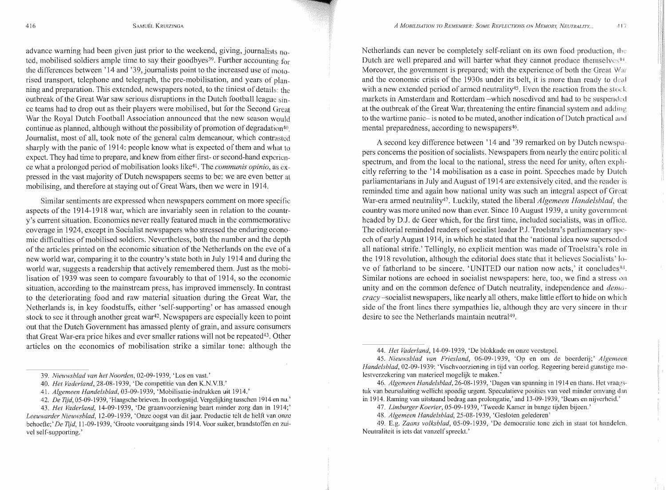advance warning had been given just prior to the weekend, giving, journalists noted, mobilised soldiers ample time to say their goodbyes<sup>39</sup>. Further accounting for the differences between '14 and '39, journalists point to the increased use of motorised transport, telephone and telegraph, the pre-mobilisation, and years of planning and preparation. This extended, newspapers noted, to the tiniest of details: the outbreak of the Great War saw serious disruptions in the Dutch football league since teams had to drop out as their players were mobilised, but for the Second Great War the Royal Dutch Football Association announced that the new season would continue as planned, although without the possibility of promotion of degradation<sup>40</sup> Journalist, most of all, took note of the general calm demeanour, which contrasted sharply with the panic of 1914: people know what is expected of them and what to expect. They had time to prepare, and knew from either first- or second-hand experience what a prolonged period of mobilisation looks like4t. The *communis opinio,* as expressed in the vast majority of Dutch newspapers seems to be: we are even better at mobilising, and therefore at staying out of Great Wars, then we were in 1914.

Similar sentiments are expressed when newspapers comment on more specific aspects of the 1914-1918 war, which are invariably seen in relation to the country's current situation. Economics never really featured much in the commemorative coverage in 1924, except in Socialist newspapers who stressed the enduring economic difficulties of mobilised soldiers. Nevertheless, both the number and the depth of the articles printed on the economic situation of the Netherlands on the eve of a new world war, comparing it to the country's state both in July 1914 and during the world war, suggests a readership that actively remembered them. Just as the mobilisation of 1939 was seen to compare favourably to that of 1914, so the economic situation, according to the mainstream press, has improved immensely. In contrast to the deteriorating food and raw material situation during the Great War, the Netherlands is, in key foodstuffs, either 'self-supporting' or has amassed enough stock to see it through another great war<sup>42</sup>. Newspapers are especially keen to point out that the Dutch Government has amassed plenty of grain, and assure consumers that Great War-era price hikes and ever smaller rations will not be repeated<sup>43</sup>. Other articles on the economics of mobilisation strike a similar tone: although the

Netherlands can never be completely self-reliant on its own food production, the Dutch are well prepared and will barter what they cannot produce themselves $44$ . Moreover, the government is prepared; with the experience of both the Great War and the economic crisis of the 1930s under its belt, it is more than ready to deal with a new extended period of armed neutrality<sup>45</sup>. Even the reaction from the stock markets in Amsterdam and Rotterdam -which nosedived and had to be suspended at the outbreak of the Great War, threatening the entire financial system and to the wartime panic- is noted to be muted, another indication of Dutch practical and mental preparedness, according to newspapers<sup>46</sup>.

A second key difference between '14 and '39 remarked on by Dutch newspa- pers concerns the position of socialists. Newspapers from nearly the entire political spectrum, and from the local to the national, stress the need for unity, often explicitly referring to the '14 mobilisation as a case in point. Speeches made by Dutch parliamentarians in July and August of 1914 arc extensively cited, and the reader is reminded time and again how national unity was such an integral aspect of Great War-era armed neutrality47. Luckily, stated the liberal *Algemeen Handelsblad,* the country was more united now than ever. Since 10 August 1939, a unity government headed by D.J. de Geer which, for the first time, included socialists, was in office. The editorial reminded readers of socialist leader P.J. Troelstra's parliamentary speech of early August 1914, in which he stated that the 'national idea now superseded all national strife.' Tcllingly, no explicit mention was made of Troelstra's role in the 1918 revolution, although the editorial docs state that it believes Socialists' love of fatherland to be sincere. 'UNITED our nation now acts,' it concludes<sup>48</sup>. Similar notions are echoed in socialist newspapers: here, too, we find a stress on unity and on the common defence of Dutch neutrality, independence and *demo- cracy* -socialist newspapers, like nearly all others, make little effort to hide on which side of the front lines there sympathies lie, although they are very sincere in their desire to see the Netherlands maintain neutral<sup>49</sup>.

44. *Het Vaderland*, 14-09-1939, 'De blokkade en onze veestapel.

45. *Nieuwsblad van Friesland,* 06-09-1939, 'Op en om de bocrderij;' *Algemeen Handelsblad,* 02-09-1939: 'Vischvoorziening in tijd van oorlog. Regeering bereid gunstigc molestverzekering van materieel mogelijk te maken.'

46. *Algemeen Handelsblad*, 26-08-1939, 'Dagen van spanning in 1914 en thans. Het vraagstuk van beurssluiting wellicht spoedig urgent. Speculatieve posities van veel minder omvang dan in 1914. Raming van uitstaand bedrag aan prolongatie,' and 13-09-1939, 'Beurs en nijvcrheid.'

47. *Limburger Koerier,* 05-09-1939, 'Tweede Kamer in bange tijden bijeen.'

48. *Algemeen Handelsblad,* 25-08-1939, 'Gesloten gelederen'

49. E.g. *Zaans volk.sblad,* 05-09-1939, 'De democratic tone zich in staat tot handelcn. Ncutraliteit is iets dat vanzelf spreekt.'

<sup>39.</sup> *Nieuwsblad van het Noorden,* 02-09-1939, 'Los en vast.'

<sup>40.</sup> *Het Vader/and,* 28-08-1939, 'De competitie van den K.N.V.B.'

<sup>41.</sup> *Algemeen Handelsblad,* 03-09-1939, 'Mobilisatie-indrukken uit 1914.'

<sup>42.</sup> *De Tijd,* 05··09-1939, 'Haagsche brieven. In oorlogstijd. Vergelijking tusschen 1914 en nu.'

<sup>43.</sup> *Het Vaderland,* 14-09-1939, 'De graanvoorziening baart minder zorg dan in 1914;' *Leeuwarder Nieuwsblad,* 12-09-1939, 'Onze oogst van ditjaar. Productie telt de helft van onze behoefte;' *De Tijd*, 11-09-1939, 'Groote vooruitgang sinds 1914. Voor suiker, brandstoffen en zuivel self-supporting.'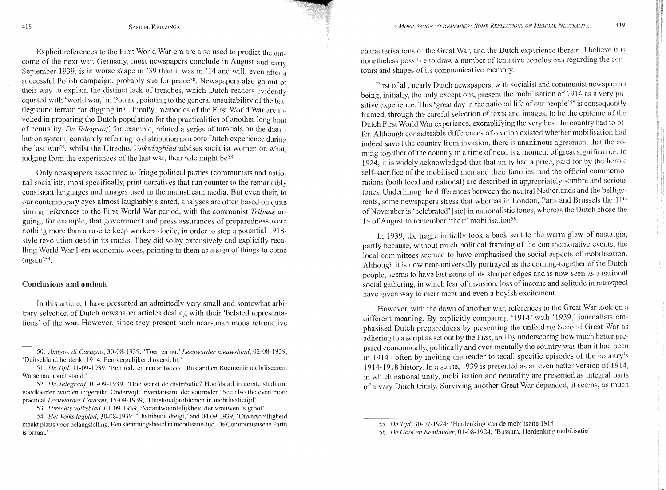Explicit references to the First World War-era are also used to predict the  $_{\text{out}}$ . come of the next war. Germany, most newspapers conclude in August and early September 1939, is in worse shape in '39 than it was in '14 and will, even after a successful Polish campaign, probably sue for peace<sup>50</sup>. Newspapers also go out of their way to explain the distinct lack of trenches, which Dutch readers evidently equated with 'world war,' in Poland, pointing to the general unsuitability of the battleground terrain for digging in51 . Finally, memories of the First World War arc invoked in preparing the Dutch population for the practicalities of another long bout of neutrality. *De Telegraaf,* for example, printed a series of tutorials on the distribution system, constantly referring to distribution as a core Dutch experience during the last war52 , whilst the Utrechts *Volksdagblad* advises socialist women on what, judging from the experiences of the last war, their role might be<sup>53</sup>.

Only newspapers associated to fringe political parties (communists and national-socialists, most specifically, print narratives that run counter to the remarkably consistent languages and images used in the mainstream media. But even their, to our contemporary eyes almost laughably slanted, analyses are often based on quite similar references to the First World War period, with the communist *Tribune* arguing, for example, that government and press assurances of preparedness were nothing more than a ruse to keep workers docile, in order to stop a potential 1918 stylc revolution dead in its tracks. They did so by extensively and explicitly recalling World War 1-era economic woes, pointing to them as a sign of things to come  $(again)^{54}$ .

#### Conclusions and outlook

In this article, I have presented an admittedly very small and somewhat arbitrary selection of Dutch newspaper articles dealing with their 'belated representations' of the war. However, since they present such near-unanimous retroactive characterisations of the Great War, and the Dutch experience therein, I believe it 1 nonetheless possible to draw a number of tentative conclusions regarding the contours and shapes of its communicative memory.

First of all, nearly Dutch newspapers, with socialist and communist newspapers being, initially, the only exceptions, present the mobilisation of 1914 as a very positive experience. This 'great day in the national life of our people'55 is consequently framed, through the careful selection of texts and images, to be the epitome of the Dutch First World War experience, exemplifying the very best the country had to offer. Although considerable differences of opinion existed whether mobilisation had indeed saved the country from invasion, there is unanimous agreement that the coming together of the country in a time of need is a moment of great significance. In 1924, it is widely acknowledged that that unity had a price, paid for by the heroic self-sacrifice of the mobilised men and their families, and the official commemorations (both local and national) are described in appropriately sombre and tones. Underlining the differences between the neutral Netherlands and the bell rents, some newspapers stress that whereas in London, Paris and Brussels the ll th of November is 'celebrated' [sic] in nationalistic tones, whereas the Dutch chose the 1<sup>st</sup> of August to remember 'their' mobilisation<sup>56</sup>.

In 1939, the tragic initially took a back seat to the warm glow of nostalgia, partly because, without much political framing of the commemorative events, the local committees seemed to have emphasised the social aspects of mobilisation. Although it is now near-universally portrayed as the coming-together of the Dutch people, seems to have lost some of its sharper edges and is now seen as a national social gathering, in which fear of invasion, loss of income and solitude in retrospect have given way to merriment and even a boyish excitement.

However, with the dawn of another war, references to the Great War took on a different meaning. By explicitly comparing '1914' with '1939,' journalists emphasised Dutch preparedness by presenting the unfolding Second Great War as adhering to a script as set out by the First, and by underscoring how much better pre~ pared economically, politically and even mentally the country was than it had in 1914 -often by inviting the reader to recall specific episodes of the country's 1914-1918 history. In a sense, 1939 is presented as an even better version of 1 914, in which national unity, mobilisation and neutrality are presented as integral parts of a very Dutch trinity. Surviving another Great War depended, it seems, as much

<sup>50.</sup> *Amigoe di Curac;:ao,* 30-08-1939: 'Toen en nu;' *Leeuwarder nieuwsblad,* 02-08-1939, 'Duitschland herdenkt 1914. Ecn vergclijkend overzicht.'

<sup>51.</sup> *De Tijd,* 11-09-1939, 'Ecn rede en cen antwoord. Rusland en Roemenie mobiliseercn. Warschau houdt stand.'

<sup>52.</sup> *De Telegraaf,* 01-09-1939, 'Hoe werkt de distributie? Hoofdstad in eerste stadium: noodkaarten worden uitgereikt. Onderwijl: inventarisatie der voorraden' See also the even more practical *Leeuwarder Courant*, 15-09-1939, 'Huishoudproblemen in mobilisatietijd'

<sup>53.</sup> *Utrechts volksblad,* 01-09-1939, 'Verantwoordclijkheid der vrouwen is groot'

<sup>54.</sup> *Het Volksdagblad,* 30-08-1939: 'Distributic drcigt,' and 04-09-1939, 'Onvcrschillighcid maakt plaats voor belangstelling. Een stemmingsbeeld in mobilisatie-tijd. De Communistische Partij is paraat.'

<sup>55.</sup> *De Tijd,* 30-07-1924: 'Herdenking van de mobilisatie 1914'

<sup>56.</sup> *De Gooi en Eemlander,* 01-08-1924, 'Bussum. Herdcnking mobilisatie'